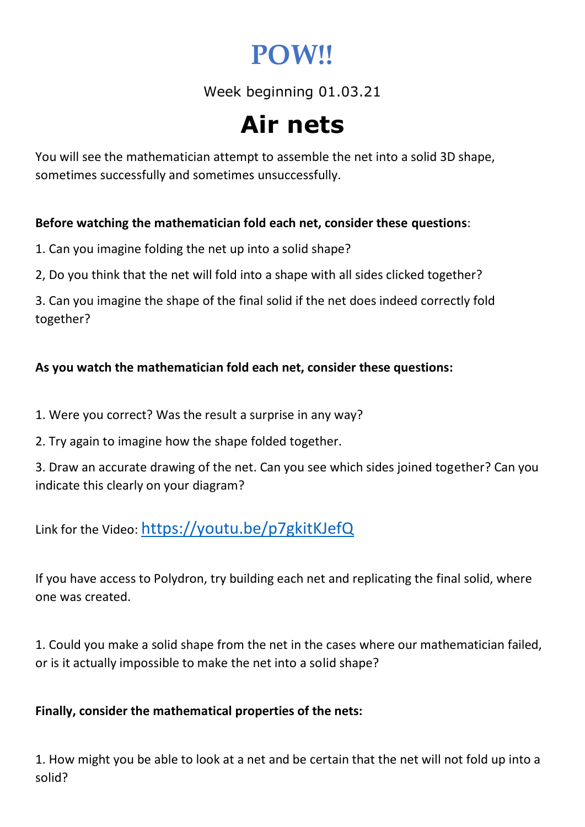## **POW!!**

Week beginning 01.03.21

# **Air nets**

You will see the mathematician attempt to assemble the net into a solid 3D shape, sometimes successfully and sometimes unsuccessfully.

#### **Before watching the mathematician fold each net, consider these questions**:

1. Can you imagine folding the net up into a solid shape?

2, Do you think that the net will fold into a shape with all sides clicked together?

3. Can you imagine the shape of the final solid if the net does indeed correctly fold together?

### **As you watch the mathematician fold each net, consider these questions:**

1. Were you correct? Was the result a surprise in any way?

2. Try again to imagine how the shape folded together.

3. Draw an accurate drawing of the net. Can you see which sides joined together? Can you indicate this clearly on your diagram?

Link for the Video: https://youtu.be/p7gkitKJefQ

If you have access to Polydron, try building each net and replicating the final solid, where one was created.

1. Could you make a solid shape from the net in the cases where our mathematician failed, or is it actually impossible to make the net into a solid shape?

#### **Finally, consider the mathematical properties of the nets:**

1. How might you be able to look at a net and be certain that the net will not fold up into a solid?